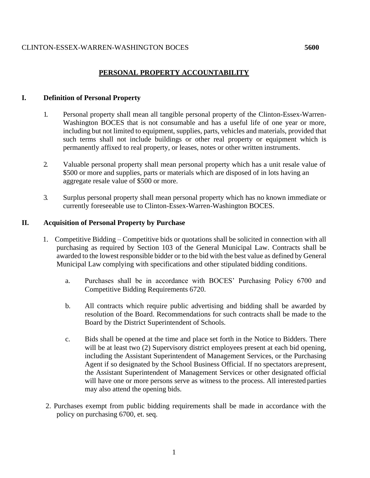# **PERSONAL PROPERTY ACCOUNTABILITY**

## **I. Definition of Personal Property**

- 1. Personal property shall mean all tangible personal property of the Clinton-Essex-Warren-Washington BOCES that is not consumable and has a useful life of one year or more, including but not limited to equipment, supplies, parts, vehicles and materials, provided that such terms shall not include buildings or other real property or equipment which is permanently affixed to real property, or leases, notes or other written instruments.
- 2. Valuable personal property shall mean personal property which has a unit resale value of \$500 or more and supplies, parts or materials which are disposed of in lots having an aggregate resale value of \$500 or more.
- 3. Surplus personal property shall mean personal property which has no known immediate or currently foreseeable use to Clinton-Essex-Warren-Washington BOCES.

## **II. Acquisition of Personal Property by Purchase**

- 1. Competitive Bidding Competitive bids or quotations shall be solicited in connection with all purchasing as required by Section 103 of the General Municipal Law. Contracts shall be awarded to the lowest responsible bidder or to the bid with the best value as defined by General Municipal Law complying with specifications and other stipulated bidding conditions.
	- a. Purchases shall be in accordance with BOCES' Purchasing Policy 6700 and Competitive Bidding Requirements 6720.
	- b. All contracts which require public advertising and bidding shall be awarded by resolution of the Board. Recommendations for such contracts shall be made to the Board by the District Superintendent of Schools.
	- c. Bids shall be opened at the time and place set forth in the Notice to Bidders. There will be at least two (2) Supervisory district employees present at each bid opening, including the Assistant Superintendent of Management Services, or the Purchasing Agent if so designated by the School Business Official. If no spectators arepresent, the Assistant Superintendent of Management Services or other designated official will have one or more persons serve as witness to the process. All interested parties may also attend the opening bids.
- 2. Purchases exempt from public bidding requirements shall be made in accordance with the policy on purchasing 6700, et. seq.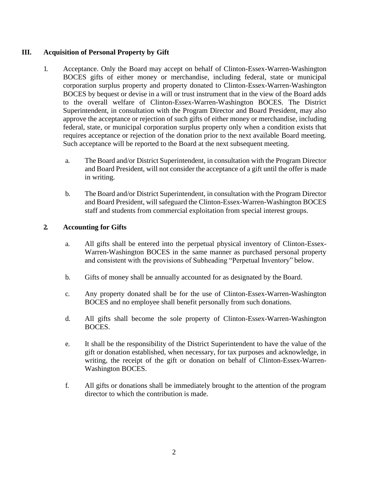# **III. Acquisition of Personal Property by Gift**

- 1. Acceptance. Only the Board may accept on behalf of Clinton-Essex-Warren-Washington BOCES gifts of either money or merchandise, including federal, state or municipal corporation surplus property and property donated to Clinton-Essex-Warren-Washington BOCES by bequest or devise in a will or trust instrument that in the view of the Board adds to the overall welfare of Clinton-Essex-Warren-Washington BOCES. The District Superintendent, in consultation with the Program Director and Board President, may also approve the acceptance or rejection of such gifts of either money or merchandise, including federal, state, or municipal corporation surplus property only when a condition exists that requires acceptance or rejection of the donation prior to the next available Board meeting. Such acceptance will be reported to the Board at the next subsequent meeting.
	- a. The Board and/or District Superintendent, in consultation with the Program Director and Board President, will not consider the acceptance of a gift until the offer is made in writing.
	- b. The Board and/or District Superintendent, in consultation with the Program Director and Board President, will safeguard the Clinton-Essex-Warren-Washington BOCES staff and students from commercial exploitation from special interest groups.

# **2. Accounting for Gifts**

- a. All gifts shall be entered into the perpetual physical inventory of Clinton-Essex-Warren-Washington BOCES in the same manner as purchased personal property and consistent with the provisions of Subheading "Perpetual Inventory" below.
- b. Gifts of money shall be annually accounted for as designated by the Board.
- c. Any property donated shall be for the use of Clinton-Essex-Warren-Washington BOCES and no employee shall benefit personally from such donations.
- d. All gifts shall become the sole property of Clinton-Essex-Warren-Washington BOCES.
- e. It shall be the responsibility of the District Superintendent to have the value of the gift or donation established, when necessary, for tax purposes and acknowledge, in writing, the receipt of the gift or donation on behalf of Clinton-Essex-Warren-Washington BOCES.
- f. All gifts or donations shall be immediately brought to the attention of the program director to which the contribution is made.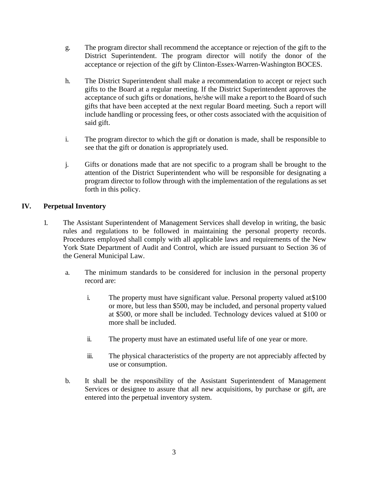- g. The program director shall recommend the acceptance or rejection of the gift to the District Superintendent. The program director will notify the donor of the acceptance or rejection of the gift by Clinton-Essex-Warren-Washington BOCES.
- h. The District Superintendent shall make a recommendation to accept or reject such gifts to the Board at a regular meeting. If the District Superintendent approves the acceptance of such gifts or donations, he/she will make a report to the Board of such gifts that have been accepted at the next regular Board meeting. Such a report will include handling or processing fees, or other costs associated with the acquisition of said gift.
- i. The program director to which the gift or donation is made, shall be responsible to see that the gift or donation is appropriately used.
- j. Gifts or donations made that are not specific to a program shall be brought to the attention of the District Superintendent who will be responsible for designating a program director to follow through with the implementation of the regulations as set forth in this policy.

# **IV. Perpetual Inventory**

- 1. The Assistant Superintendent of Management Services shall develop in writing, the basic rules and regulations to be followed in maintaining the personal property records. Procedures employed shall comply with all applicable laws and requirements of the New York State Department of Audit and Control, which are issued pursuant to Section 36 of the General Municipal Law.
	- a. The minimum standards to be considered for inclusion in the personal property record are:
		- i. The property must have significant value. Personal property valued at\$100 or more, but less than \$500, may be included, and personal property valued at \$500, or more shall be included. Technology devices valued at \$100 or more shall be included.
		- ii. The property must have an estimated useful life of one year or more.
		- iii. The physical characteristics of the property are not appreciably affected by use or consumption.
	- b. It shall be the responsibility of the Assistant Superintendent of Management Services or designee to assure that all new acquisitions, by purchase or gift, are entered into the perpetual inventory system.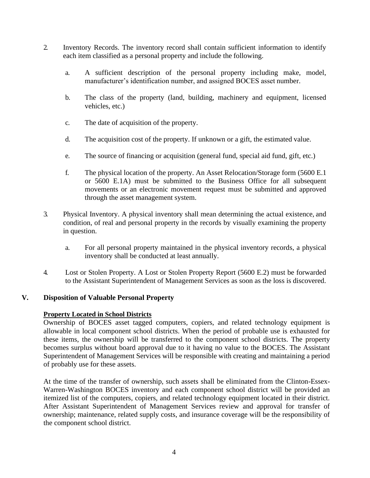- 2. Inventory Records. The inventory record shall contain sufficient information to identify each item classified as a personal property and include the following.
	- a. A sufficient description of the personal property including make, model, manufacturer's identification number, and assigned BOCES asset number.
	- b. The class of the property (land, building, machinery and equipment, licensed vehicles, etc.)
	- c. The date of acquisition of the property.
	- d. The acquisition cost of the property. If unknown or a gift, the estimated value.
	- e. The source of financing or acquisition (general fund, special aid fund, gift, etc.)
	- f. The physical location of the property. An Asset Relocation/Storage form (5600 E.1 or 5600 E.1A) must be submitted to the Business Office for all subsequent movements or an electronic movement request must be submitted and approved through the asset management system.
- 3. Physical Inventory. A physical inventory shall mean determining the actual existence, and condition, of real and personal property in the records by visually examining the property in question.
	- a. For all personal property maintained in the physical inventory records, a physical inventory shall be conducted at least annually.
- 4. Lost or Stolen Property. A Lost or Stolen Property Report (5600 E.2) must be forwarded to the Assistant Superintendent of Management Services as soon as the loss is discovered.

#### **V. Disposition of Valuable Personal Property**

#### **Property Located in School Districts**

Ownership of BOCES asset tagged computers, copiers, and related technology equipment is allowable in local component school districts. When the period of probable use is exhausted for these items, the ownership will be transferred to the component school districts. The property becomes surplus without board approval due to it having no value to the BOCES. The Assistant Superintendent of Management Services will be responsible with creating and maintaining a period of probably use for these assets.

At the time of the transfer of ownership, such assets shall be eliminated from the Clinton-Essex-Warren-Washington BOCES inventory and each component school district will be provided an itemized list of the computers, copiers, and related technology equipment located in their district. After Assistant Superintendent of Management Services review and approval for transfer of ownership; maintenance, related supply costs, and insurance coverage will be the responsibility of the component school district.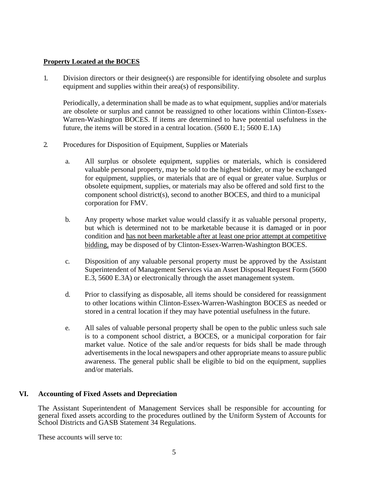## **Property Located at the BOCES**

1. Division directors or their designee(s) are responsible for identifying obsolete and surplus equipment and supplies within their area(s) of responsibility.

Periodically, a determination shall be made as to what equipment, supplies and/or materials are obsolete or surplus and cannot be reassigned to other locations within Clinton-Essex-Warren-Washington BOCES. If items are determined to have potential usefulness in the future, the items will be stored in a central location. (5600 E.1; 5600 E.1A)

- 2. Procedures for Disposition of Equipment, Supplies or Materials
	- a. All surplus or obsolete equipment, supplies or materials, which is considered valuable personal property, may be sold to the highest bidder, or may be exchanged for equipment, supplies, or materials that are of equal or greater value. Surplus or obsolete equipment, supplies, or materials may also be offered and sold first to the component school district(s), second to another BOCES, and third to a municipal corporation for FMV.
	- b. Any property whose market value would classify it as valuable personal property, but which is determined not to be marketable because it is damaged or in poor condition and has not been marketable after at least one prior attempt at competitive bidding, may be disposed of by Clinton-Essex-Warren-Washington BOCES.
	- c. Disposition of any valuable personal property must be approved by the Assistant Superintendent of Management Services via an Asset Disposal Request Form (5600 E.3, 5600 E.3A) or electronically through the asset management system.
	- d. Prior to classifying as disposable, all items should be considered for reassignment to other locations within Clinton-Essex-Warren-Washington BOCES as needed or stored in a central location if they may have potential usefulness in the future.
	- e. All sales of valuable personal property shall be open to the public unless such sale is to a component school district, a BOCES, or a municipal corporation for fair market value. Notice of the sale and/or requests for bids shall be made through advertisements in the local newspapers and other appropriate means to assure public awareness. The general public shall be eligible to bid on the equipment, supplies and/or materials.

# **VI. Accounting of Fixed Assets and Depreciation**

The Assistant Superintendent of Management Services shall be responsible for accounting for general fixed assets according to the procedures outlined by the Uniform System of Accounts for School Districts and GASB Statement 34 Regulations.

These accounts will serve to: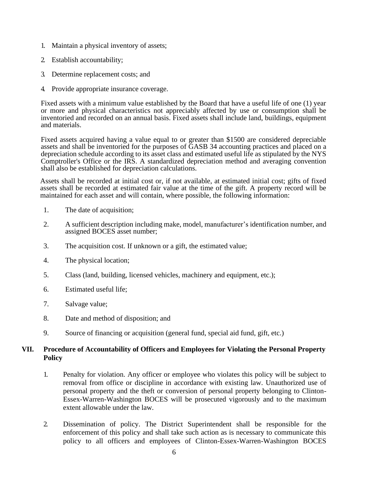- 1. Maintain a physical inventory of assets;
- 2. Establish accountability;
- 3. Determine replacement costs; and
- 4. Provide appropriate insurance coverage.

Fixed assets with a minimum value established by the Board that have a useful life of one (1) year or more and physical characteristics not appreciably affected by use or consumption shall be inventoried and recorded on an annual basis. Fixed assets shall include land, buildings, equipment and materials.

Fixed assets acquired having a value equal to or greater than \$1500 are considered depreciable assets and shall be inventoried for the purposes of GASB 34 accounting practices and placed on a depreciation schedule according to its asset class and estimated useful life as stipulated by the NYS Comptroller's Office or the IRS. A standardized depreciation method and averaging convention shall also be established for depreciation calculations.

Assets shall be recorded at initial cost or, if not available, at estimated initial cost; gifts of fixed assets shall be recorded at estimated fair value at the time of the gift. A property record will be maintained for each asset and will contain, where possible, the following information:

- 1. The date of acquisition;
- 2. A sufficient description including make, model, manufacturer's identification number, and assigned BOCES asset number;
- 3. The acquisition cost. If unknown or a gift, the estimated value;
- 4. The physical location;
- 5. Class (land, building, licensed vehicles, machinery and equipment, etc.);
- 6. Estimated useful life;
- 7. Salvage value;
- 8. Date and method of disposition; and
- 9. Source of financing or acquisition (general fund, special aid fund, gift, etc.)

## **VII. Procedure of Accountability of Officers and Employees for Violating the Personal Property Policy**

- 1. Penalty for violation. Any officer or employee who violates this policy will be subject to removal from office or discipline in accordance with existing law. Unauthorized use of personal property and the theft or conversion of personal property belonging to Clinton-Essex-Warren-Washington BOCES will be prosecuted vigorously and to the maximum extent allowable under the law.
- 2. Dissemination of policy. The District Superintendent shall be responsible for the enforcement of this policy and shall take such action as is necessary to communicate this policy to all officers and employees of Clinton-Essex-Warren-Washington BOCES